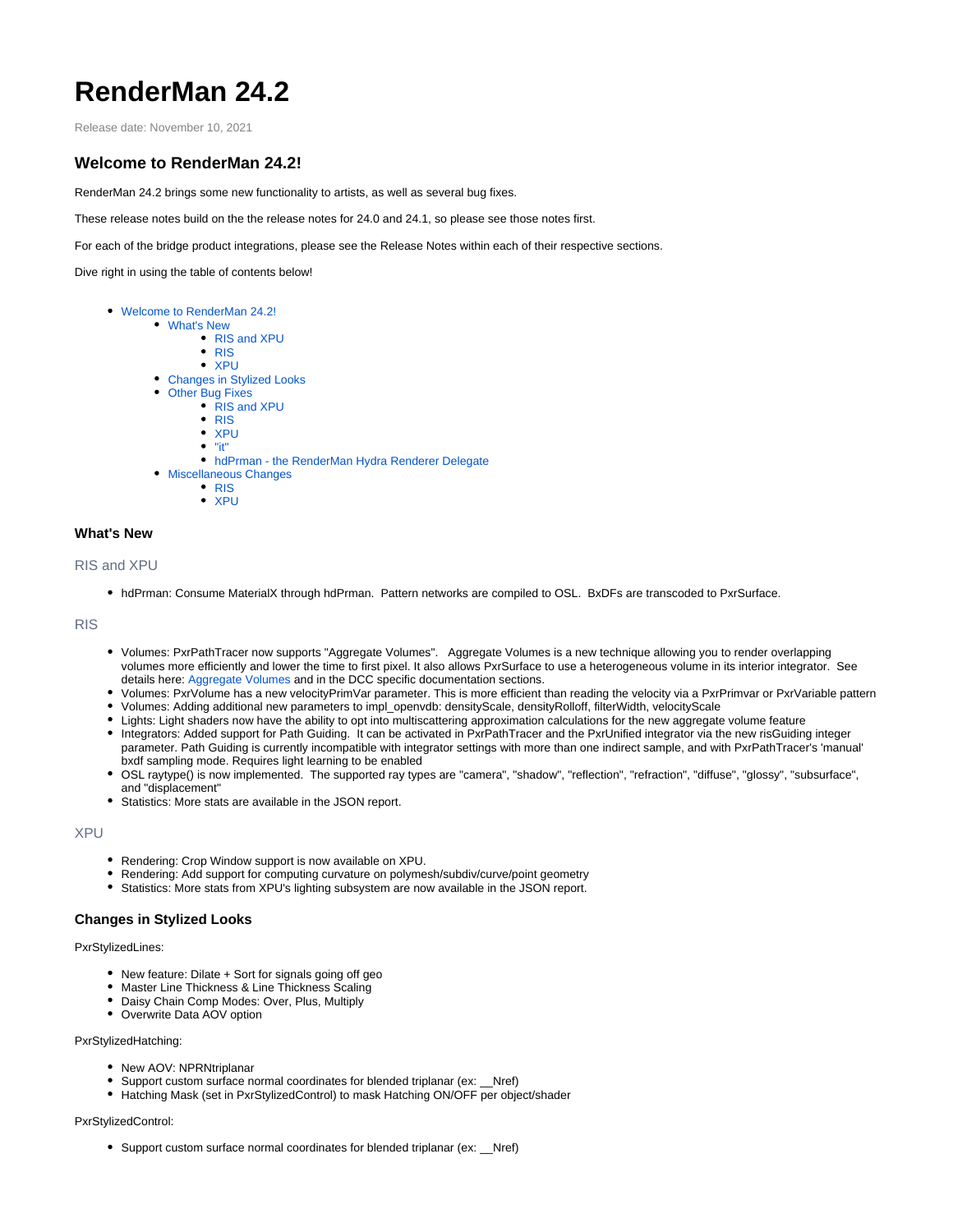# **RenderMan 24.2**

Release date: November 10, 2021

## <span id="page-0-0"></span>**Welcome to RenderMan 24.2!**

RenderMan 24.2 brings some new functionality to artists, as well as several bug fixes.

These release notes build on the the release notes for 24.0 and 24.1, so please see those notes first.

For each of the bridge product integrations, please see the Release Notes within each of their respective sections.

Dive right in using the table of contents below!

- [Welcome to RenderMan 24.2!](#page-0-0)
	- [What's New](#page-0-1) [RIS and XPU](#page-0-2)
		- [RIS](#page-0-3)
		- [XPU](#page-0-4)
	- [Changes in Stylized Looks](#page-0-5)
	- [Other Bug Fixes](#page-1-0)
		- [RIS and XPU](#page-1-1)
		- [RIS](#page-1-2)  $\bullet$  [XPU](#page-1-3)
		- $\bullet$  ["it"](#page-1-4)
		- [hdPrman the RenderMan Hydra Renderer Delegate](#page-1-5)
	- [Miscellaneous Changes](#page-2-0)
		- [RIS](#page-2-1)
		- [XPU](#page-2-2)

## <span id="page-0-1"></span>**What's New**

## <span id="page-0-2"></span>RIS and XPU

hdPrman: Consume MaterialX through hdPrman. Pattern networks are compiled to OSL. BxDFs are transcoded to PxrSurface.

<span id="page-0-3"></span>RIS

- Volumes: PxrPathTracer now supports "Aggregate Volumes". Aggregate Volumes is a new technique allowing you to render overlapping volumes more efficiently and lower the time to first pixel. It also allows PxrSurface to use a heterogeneous volume in its interior integrator. See details here: [Aggregate Volumes](https://rmanwiki.pixar.com/display/REN24/Aggregate+Volumes) and in the DCC specific documentation sections.
- Volumes: PxrVolume has a new velocityPrimVar parameter. This is more efficient than reading the velocity via a PxrPrimvar or PxrVariable pattern
- Volumes: Adding additional new parameters to impl\_openvdb: densityScale, densityRolloff, filterWidth, velocityScale
- Lights: Light shaders now have the ability to opt into multiscattering approximation calculations for the new aggregate volume feature
- Integrators: Added support for Path Guiding. It can be activated in PxrPathTracer and the PxrUnified integrator via the new risGuiding integer parameter. Path Guiding is currently incompatible with integrator settings with more than one indirect sample, and with PxrPathTracer's 'manual' bxdf sampling mode. Requires light learning to be enabled
- OSL raytype() is now implemented. The supported ray types are "camera", "shadow", "reflection", "refraction", "diffuse", "glossy", "subsurface", and "displacement"
- $\bullet$ Statistics: More stats are available in the JSON report.

#### <span id="page-0-4"></span>XPU

- Rendering: Crop Window support is now available on XPU.
- Rendering: Add support for computing curvature on polymesh/subdiv/curve/point geometry
- Statistics: More stats from XPU's lighting subsystem are now available in the JSON report.

## <span id="page-0-5"></span>**Changes in Stylized Looks**

PxrStylizedLines:

- New feature: Dilate + Sort for signals going off geo
- Master Line Thickness & Line Thickness Scaling
- Daisy Chain Comp Modes: Over, Plus, Multiply
- Overwrite Data AOV option

#### PxrStylizedHatching:

- New AOV: NPRNtriplanar
- Support custom surface normal coordinates for blended triplanar (ex: \_\_Nref)
- Hatching Mask (set in PxrStylizedControl) to mask Hatching ON/OFF per object/shader

#### PxrStylizedControl:

Support custom surface normal coordinates for blended triplanar (ex: \_\_Nref)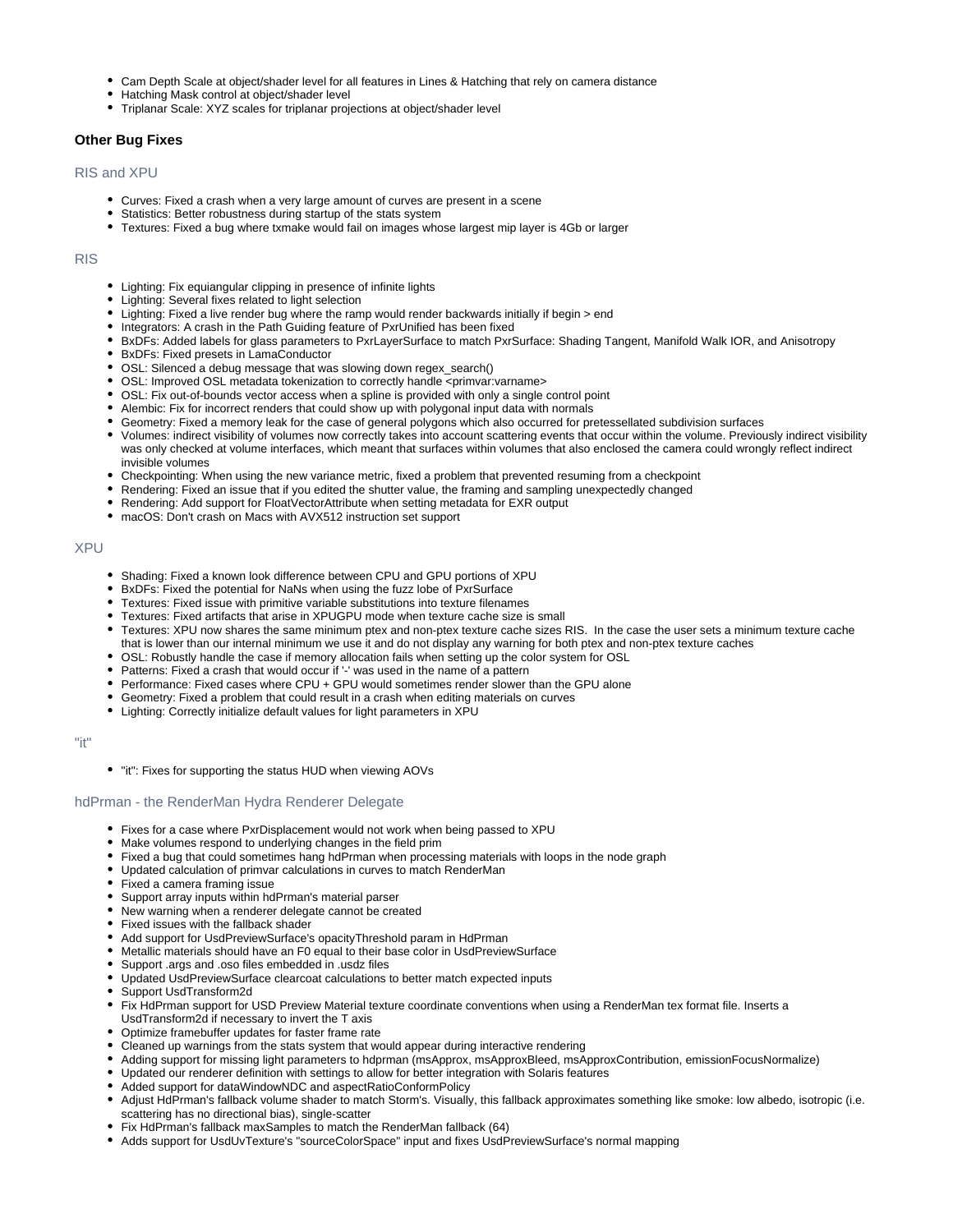- Cam Depth Scale at object/shader level for all features in Lines & Hatching that rely on camera distance
- Hatching Mask control at object/shader level
- Triplanar Scale: XYZ scales for triplanar projections at object/shader level

## <span id="page-1-0"></span>**Other Bug Fixes**

### <span id="page-1-1"></span>RIS and XPU

- Curves: Fixed a crash when a very large amount of curves are present in a scene
- Statistics: Better robustness during startup of the stats system
- Textures: Fixed a bug where txmake would fail on images whose largest mip layer is 4Gb or larger

#### <span id="page-1-2"></span>RIS

- Lighting: Fix equiangular clipping in presence of infinite lights
- Lighting: Several fixes related to light selection
- Lighting: Fixed a live render bug where the ramp would render backwards initially if begin > end
- Integrators: A crash in the Path Guiding feature of PxrUnified has been fixed
- BxDFs: Added labels for glass parameters to PxrLayerSurface to match PxrSurface: Shading Tangent, Manifold Walk IOR, and Anisotropy
- BxDFs: Fixed presets in LamaConductor
- OSL: Silenced a debug message that was slowing down regex\_search()
- OSL: Improved OSL metadata tokenization to correctly handle <primvar:varname>
- OSL: Fix out-of-bounds vector access when a spline is provided with only a single control point
- Alembic: Fix for incorrect renders that could show up with polygonal input data with normals
- Geometry: Fixed a memory leak for the case of general polygons which also occurred for pretessellated subdivision surfaces
- Volumes: indirect visibility of volumes now correctly takes into account scattering events that occur within the volume. Previously indirect visibility was only checked at volume interfaces, which meant that surfaces within volumes that also enclosed the camera could wrongly reflect indirect invisible volumes
- Checkpointing: When using the new variance metric, fixed a problem that prevented resuming from a checkpoint
- Rendering: Fixed an issue that if you edited the shutter value, the framing and sampling unexpectedly changed
- Rendering: Add support for FloatVectorAttribute when setting metadata for EXR output
- macOS: Don't crash on Macs with AVX512 instruction set support

## <span id="page-1-3"></span>XPU

- Shading: Fixed a known look difference between CPU and GPU portions of XPU
- BxDFs: Fixed the potential for NaNs when using the fuzz lobe of PxrSurface
- Textures: Fixed issue with primitive variable substitutions into texture filenames
- Textures: Fixed artifacts that arise in XPUGPU mode when texture cache size is small
- Textures: XPU now shares the same minimum ptex and non-ptex texture cache sizes RIS. In the case the user sets a minimum texture cache
	- that is lower than our internal minimum we use it and do not display any warning for both ptex and non-ptex texture caches
- OSL: Robustly handle the case if memory allocation fails when setting up the color system for OSL
- Patterns: Fixed a crash that would occur if '-' was used in the name of a pattern
- Performance: Fixed cases where CPU + GPU would sometimes render slower than the GPU alone
- Geometry: Fixed a problem that could result in a crash when editing materials on curves
- Lighting: Correctly initialize default values for light parameters in XPU

<span id="page-1-4"></span>"it"

"it": Fixes for supporting the status HUD when viewing AOVs

#### <span id="page-1-5"></span>hdPrman - the RenderMan Hydra Renderer Delegate

- Fixes for a case where PxrDisplacement would not work when being passed to XPU
- Make volumes respond to underlying changes in the field prim
- Fixed a bug that could sometimes hang hdPrman when processing materials with loops in the node graph
- Updated calculation of primvar calculations in curves to match RenderMan
- Fixed a camera framing issue
- Support array inputs within hdPrman's material parser
- New warning when a renderer delegate cannot be created
- Fixed issues with the fallback shader
- Add support for UsdPreviewSurface's opacityThreshold param in HdPrman
- Metallic materials should have an F0 equal to their base color in UsdPreviewSurface
- Support .args and .oso files embedded in .usdz files
- Updated UsdPreviewSurface clearcoat calculations to better match expected inputs
- Support UsdTransform2d
- Fix HdPrman support for USD Preview Material texture coordinate conventions when using a RenderMan tex format file. Inserts a UsdTransform2d if necessary to invert the T axis
- Optimize framebuffer updates for faster frame rate
- Cleaned up warnings from the stats system that would appear during interactive rendering
- Adding support for missing light parameters to hdprman (msApprox, msApproxBleed, msApproxContribution, emissionFocusNormalize)
- Updated our renderer definition with settings to allow for better integration with Solaris features
- Added support for dataWindowNDC and aspectRatioConformPolicy
- Adjust HdPrman's fallback volume shader to match Storm's. Visually, this fallback approximates something like smoke: low albedo, isotropic (i.e. scattering has no directional bias), single-scatter
- Fix HdPrman's fallback maxSamples to match the RenderMan fallback (64)
- Adds support for UsdUvTexture's "sourceColorSpace" input and fixes UsdPreviewSurface's normal mapping